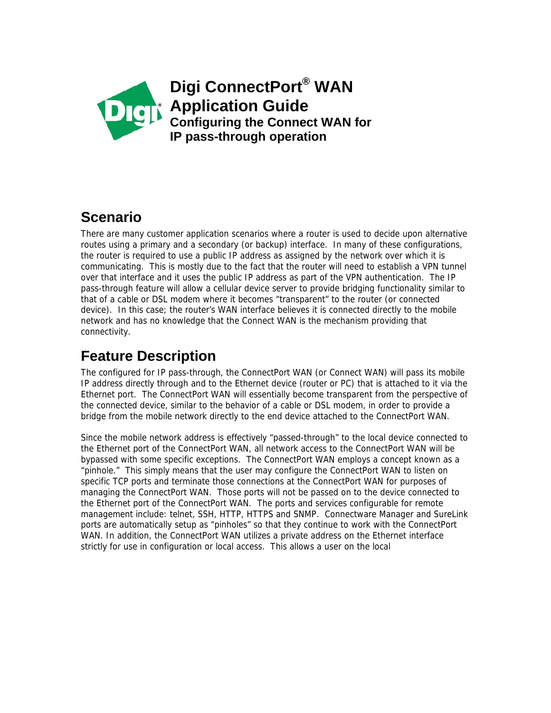

### **Scenario**

There are many customer application scenarios where a router is used to decide upon alternative routes using a primary and a secondary (or backup) interface. In many of these configurations, the router is required to use a public IP address as assigned by the network over which it is communicating. This is mostly due to the fact that the router will need to establish a VPN tunnel over that interface and it uses the public IP address as part of the VPN authentication. The IP pass-through feature will allow a cellular device server to provide bridging functionality similar to that of a cable or DSL modem where it becomes "transparent" to the router (or connected device). In this case; the router's WAN interface believes it is connected directly to the mobile network and has no knowledge that the Connect WAN is the mechanism providing that connectivity.

# **Feature Description**

The configured for IP pass-through, the ConnectPort WAN (or Connect WAN) will pass its mobile IP address directly through and to the Ethernet device (router or PC) that is attached to it via the Ethernet port. The ConnectPort WAN will essentially become transparent from the perspective of the connected device, similar to the behavior of a cable or DSL modem, in order to provide a bridge from the mobile network directly to the end device attached to the ConnectPort WAN.

Since the mobile network address is effectively "passed-through" to the local device connected to the Ethernet port of the ConnectPort WAN, all network access to the ConnectPort WAN will be bypassed with some specific exceptions. The ConnectPort WAN employs a concept known as a "pinhole." This simply means that the user may configure the ConnectPort WAN to listen on specific TCP ports and terminate those connections at the ConnectPort WAN for purposes of managing the ConnectPort WAN. Those ports will not be passed on to the device connected to the Ethernet port of the ConnectPort WAN. The ports and services configurable for remote management include: telnet, SSH, HTTP, HTTPS and SNMP. Connectware Manager and SureLink ports are automatically setup as "pinholes" so that they continue to work with the ConnectPort WAN. In addition, the ConnectPort WAN utilizes a private address on the Ethernet interface strictly for use in configuration or local access. This allows a user on the local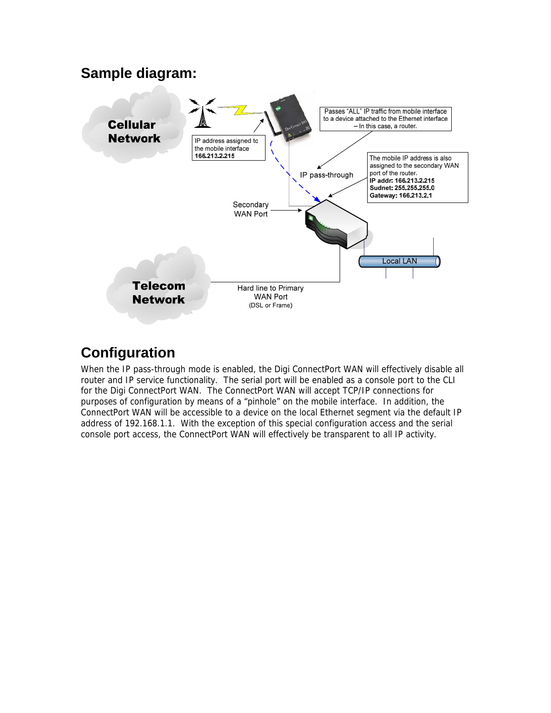#### **Sample diagram:**



# **Configuration**

When the IP pass-through mode is enabled, the Digi ConnectPort WAN will effectively disable all router and IP service functionality. The serial port will be enabled as a console port to the CLI for the Digi ConnectPort WAN. The ConnectPort WAN will accept TCP/IP connections for purposes of configuration by means of a "pinhole" on the mobile interface. In addition, the ConnectPort WAN will be accessible to a device on the local Ethernet segment via the default IP address of 192.168.1.1. With the exception of this special configuration access and the serial console port access, the ConnectPort WAN will effectively be transparent to all IP activity.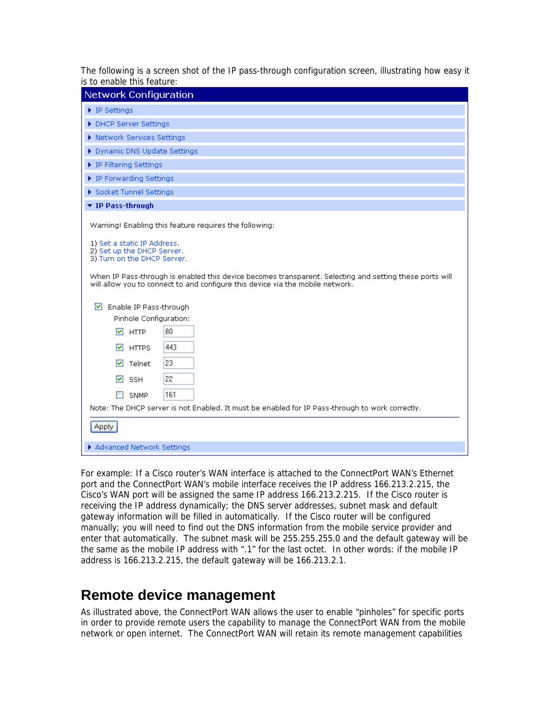The following is a screen shot of the IP pass-through configuration screen, illustrating how easy it is to enable this feature:

| <b>Network Configuration</b>                                                                                                                                                                                                                                                                                                                    |
|-------------------------------------------------------------------------------------------------------------------------------------------------------------------------------------------------------------------------------------------------------------------------------------------------------------------------------------------------|
| $\blacktriangleright$ IP Settings                                                                                                                                                                                                                                                                                                               |
| DHCP Server Settings                                                                                                                                                                                                                                                                                                                            |
| ▶ Network Services Settings                                                                                                                                                                                                                                                                                                                     |
| Dynamic DNS Update Settings                                                                                                                                                                                                                                                                                                                     |
| ▶ IP Filtering Settings                                                                                                                                                                                                                                                                                                                         |
| ▶ IP Forwarding Settings                                                                                                                                                                                                                                                                                                                        |
| Socket Tunnel Settings                                                                                                                                                                                                                                                                                                                          |
| ▼ IP Pass-through                                                                                                                                                                                                                                                                                                                               |
| Warning! Enabling this feature requires the following:<br>1) Set a static IP Address.<br>2) Set up the DHCP Server.<br>3) Turn on the DHCP Server.<br>When IP Pass-through is enabled this device becomes transparent. Selecting and setting these ports will<br>will allow you to connect to and configure this device via the mobile network. |
| $\blacktriangleright$<br>Enable IP Pass-through<br>Pinhole Configuration:<br>80<br>$\sqrt{ }$ HTTP<br>443<br>$\nabla$ HTTPS<br>23<br>$\triangledown$ Telnet<br>22<br>$\triangleright$ SSH<br>161<br>SNMP<br>Note: The DHCP server is not Enabled. It must be enabled for IP Pass-through to work correctly.<br><b>Apply</b>                     |
| Advanced Network Settings                                                                                                                                                                                                                                                                                                                       |

For example: If a Cisco router's WAN interface is attached to the ConnectPort WAN's Ethernet port and the ConnectPort WAN's mobile interface receives the IP address 166.213.2.215, the Cisco's WAN port will be assigned the same IP address 166.213.2.215. If the Cisco router is receiving the IP address dynamically; the DNS server addresses, subnet mask and default gateway information will be filled in automatically. If the Cisco router will be configured manually; you will need to find out the DNS information from the mobile service provider and enter that automatically. The subnet mask will be 255.255.255.0 and the default gateway will be the same as the mobile IP address with ".1" for the last octet. In other words: if the mobile IP address is 166.213.2.215, the default gateway will be 166.213.2.1.

### **Remote device management**

As illustrated above, the ConnectPort WAN allows the user to enable "pinholes" for specific ports in order to provide remote users the capability to manage the ConnectPort WAN from the mobile network or open internet. The ConnectPort WAN will retain its remote management capabilities